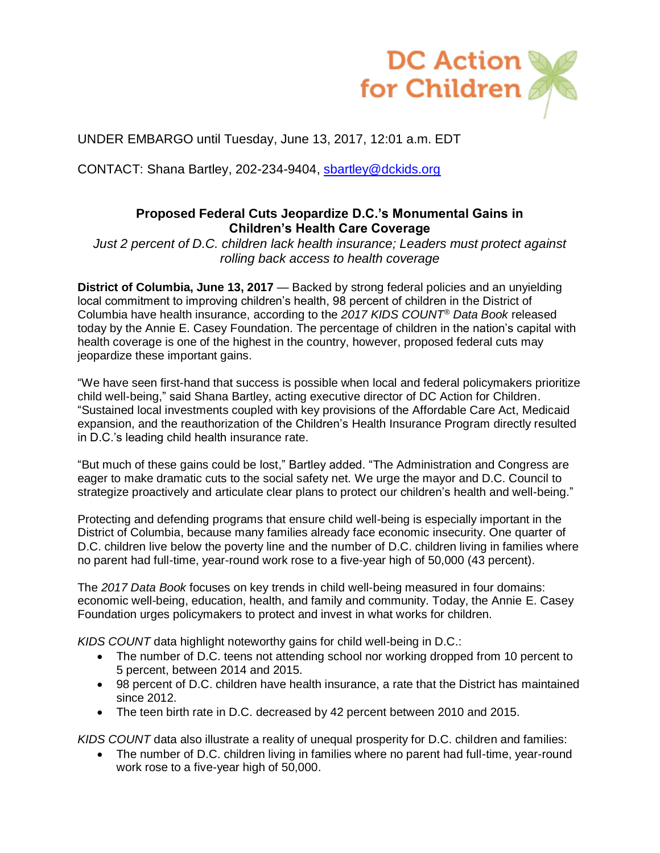

UNDER EMBARGO until Tuesday, June 13, 2017, 12:01 a.m. EDT

CONTACT: Shana Bartley, 202-234-9404, [sbartley@dckids.org](mailto:sbartley@dckids.org)

## **Proposed Federal Cuts Jeopardize D.C.'s Monumental Gains in Children's Health Care Coverage**

*Just 2 percent of D.C. children lack health insurance; Leaders must protect against rolling back access to health coverage*

**District of Columbia, June 13, 2017** — Backed by strong federal policies and an unyielding local commitment to improving children's health, 98 percent of children in the District of Columbia have health insurance, according to the *2017 KIDS COUNT® Data Book* released today by the Annie E. Casey Foundation. The percentage of children in the nation's capital with health coverage is one of the highest in the country, however, proposed federal cuts may jeopardize these important gains.

"We have seen first-hand that success is possible when local and federal policymakers prioritize child well-being," said Shana Bartley, acting executive director of DC Action for Children. "Sustained local investments coupled with key provisions of the Affordable Care Act, Medicaid expansion, and the reauthorization of the Children's Health Insurance Program directly resulted in D.C.'s leading child health insurance rate.

"But much of these gains could be lost," Bartley added. "The Administration and Congress are eager to make dramatic cuts to the social safety net. We urge the mayor and D.C. Council to strategize proactively and articulate clear plans to protect our children's health and well-being."

Protecting and defending programs that ensure child well-being is especially important in the District of Columbia, because many families already face economic insecurity. One quarter of D.C. children live below the poverty line and the number of D.C. children living in families where no parent had full-time, year-round work rose to a five-year high of 50,000 (43 percent).

The *2017 Data Book* focuses on key trends in child well-being measured in four domains: economic well-being, education, health, and family and community. Today, the Annie E. Casey Foundation urges policymakers to protect and invest in what works for children.

*KIDS COUNT* data highlight noteworthy gains for child well-being in D.C.:

- The number of D.C. teens not attending school nor working dropped from 10 percent to 5 percent, between 2014 and 2015.
- 98 percent of D.C. children have health insurance, a rate that the District has maintained since 2012.
- The teen birth rate in D.C. decreased by 42 percent between 2010 and 2015.

*KIDS COUNT* data also illustrate a reality of unequal prosperity for D.C. children and families:

• The number of D.C. children living in families where no parent had full-time, year-round work rose to a five-year high of 50,000.